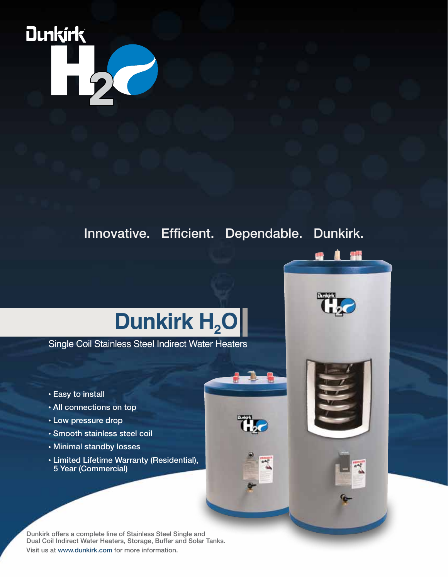## **Dunkirk**

Innovative. Efficient. Dependable. Dunkirk.



Single Coil Stainless Steel Indirect Water Heaters

- Easy to install
- All connections on top
- Low pressure drop
- Smooth stainless steel coil
- Minimal standby losses
- Limited Lifetime Warranty (Residential), 5 Year (Commercial)

Dunkirk offers a complete line of Stainless Steel Single and Dual Coil Indirect Water Heaters, Storage, Buffer and Solar Tanks. Visit us at www.dunkirk.com for more information.